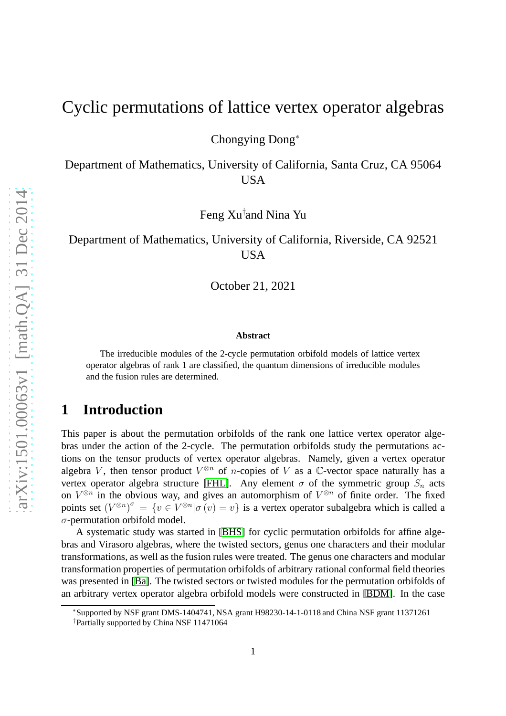## Cyclic permutations of lattice vertex operator algebras

Chongying Dong<sup>∗</sup>

Department of Mathematics, University of California, Santa Cruz, CA 95064 USA

Feng Xu† and Nina Yu

### Department of Mathematics, University of California, Riverside, CA 92521 USA

October 21, 2021

#### **Abstract**

The irreducible modules of the 2-cycle permutation orbifold models of lattice vertex operator algebras of rank 1 are classified, the quantum dimensions of irreducible modules and the fusion rules are determined.

### **1 Introduction**

This paper is about the permutation orbifolds of the rank one lattice vertex operator algebras under the action of the 2-cycle. The permutation orbifolds study the permutations actions on the tensor products of vertex operator algebras. Namely, given a vertex operator algebra V, then tensor product  $V^{\otimes n}$  of *n*-copies of V as a  $\mathbb{C}$ -vector space naturally has a vertex operator algebra structure [\[FHL\]](#page-14-0). Any element  $\sigma$  of the symmetric group  $S_n$  acts on  $V^{\otimes n}$  in the obvious way, and gives an automorphism of  $V^{\otimes n}$  of finite order. The fixed points set  $(V^{\otimes n})^{\sigma} = \{v \in V^{\otimes n} | \sigma(v) = v\}$  is a vertex operator subalgebra which is called a  $\sigma$ -permutation orbifold model.

A systematic study was started in [\[BHS\]](#page-13-0) for cyclic permutation orbifolds for affine algebras and Virasoro algebras, where the twisted sectors, genus one characters and their modular transformations, as well as the fusion rules were treated. The genus one characters and modular transformation properties of permutation orbifolds of arbitrary rational conformal field theories was presented in [\[Ba\]](#page-13-1). The twisted sectors or twisted modules for the permutation orbifolds of an arbitrary vertex operator algebra orbifold models were constructed in [\[BDM\]](#page-13-2). In the case

<sup>∗</sup>Supported by NSF grant DMS-1404741, NSA grant H98230-14-1-0118 and China NSF grant 11371261

<sup>†</sup>Partially supported by China NSF 11471064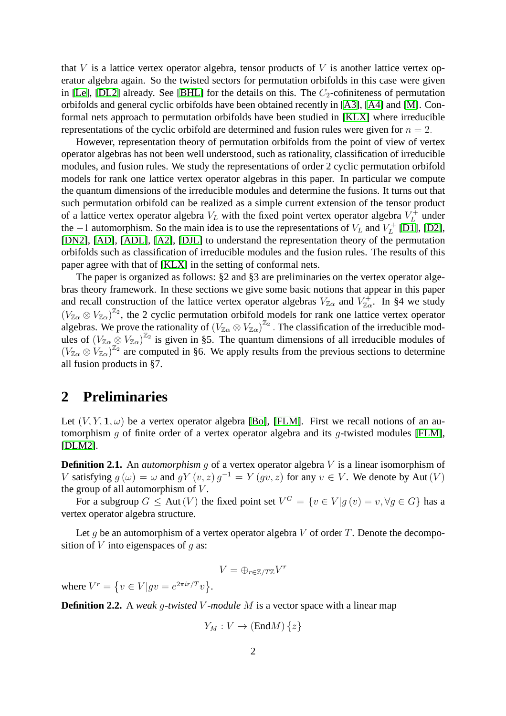that V is a lattice vertex operator algebra, tensor products of V is another lattice vertex operator algebra again. So the twisted sectors for permutation orbifolds in this case were given in [\[Le\]](#page-14-1), [\[DL2\]](#page-14-2) already. See [\[BHL\]](#page-13-3) for the details on this. The  $C_2$ -cofiniteness of permutation orbifolds and general cyclic orbifolds have been obtained recently in [\[A3\]](#page-13-4), [\[A4\]](#page-13-5) and [\[M\]](#page-14-3). Conformal nets approach to permutation orbifolds have been studied in [\[KLX\]](#page-14-4) where irreducible representations of the cyclic orbifold are determined and fusion rules were given for  $n = 2$ .

However, representation theory of permutation orbifolds from the point of view of vertex operator algebras has not been well understood, such as rationality, classification of irreducible modules, and fusion rules. We study the representations of order 2 cyclic permutation orbifold models for rank one lattice vertex operator algebras in this paper. In particular we compute the quantum dimensions of the irreducible modules and determine the fusions. It turns out that such permutation orbifold can be realized as a simple current extension of the tensor product of a lattice vertex operator algebra  $V_L$  with the fixed point vertex operator algebra  $V_L^+$  $L^+$  under the  $-1$  automorphism. So the main idea is to use the representations of  $V_L$  and  $V_L^+$  $L^{\prime+}$  [\[D1\]](#page-13-6), [\[D2\]](#page-13-7), [\[DN2\]](#page-14-5), [\[AD\]](#page-13-8), [\[ADL\]](#page-13-9), [\[A2\]](#page-13-10), [\[DJL\]](#page-14-6) to understand the representation theory of the permutation orbifolds such as classification of irreducible modules and the fusion rules. The results of this paper agree with that of [\[KLX\]](#page-14-4) in the setting of conformal nets.

The paper is organized as follows: §2 and §3 are preliminaries on the vertex operator algebras theory framework. In these sections we give some basic notions that appear in this paper and recall construction of the lattice vertex operator algebras  $V_{\mathbb{Z}_{\alpha}}$  and  $V_{\mathbb{Z}_{\alpha}}^+$ . In §4 we study  $(V_{\mathbb{Z}\alpha} \otimes V_{\mathbb{Z}\alpha})^{\mathbb{Z}_2}$ , the 2 cyclic permutation orbifold models for rank one lattice vertex operator algebras. We prove the rationality of  $(V_{\mathbb{Z}_{\alpha}} \otimes V_{\mathbb{Z}_{\alpha}})^{\mathbb{Z}_{2}}$ . The classification of the irreducible modules of  $(V_{\mathbb{Z}_{\alpha}} \otimes V_{\mathbb{Z}_{\alpha}})^{\mathbb{Z}_{2}}$  is given in §5. The quantum dimensions of all irreducible modules of  $(V_{\mathbb{Z}\alpha} \otimes V_{\mathbb{Z}\alpha})^{\mathbb{Z}_2}$  are computed in §6. We apply results from the previous sections to determine all fusion products in §7.

### **2 Preliminaries**

Let  $(V, Y, 1, \omega)$  be a vertex operator algebra [\[Bo\]](#page-13-11), [\[FLM\]](#page-14-7). First we recall notions of an au-tomorphism q of finite order of a vertex operator algebra and its q-twisted modules [\[FLM\]](#page-14-7), [\[DLM2\]](#page-14-8).

**Definition 2.1.** An *automorphism* g of a vertex operator algebra V is a linear isomorphism of V satisfying  $g(\omega) = \omega$  and  $gY(v, z)g^{-1} = Y(gv, z)$  for any  $v \in V$ . We denote by Aut  $(V)$ the group of all automorphism of  $V$ .

For a subgroup  $G \leq \text{Aut}(V)$  the fixed point set  $V^G = \{v \in V | g(v) = v, \forall g \in G\}$  has a vertex operator algebra structure.

Let g be an automorphism of a vertex operator algebra  $V$  of order  $T$ . Denote the decomposition of  $V$  into eigenspaces of  $q$  as:

$$
V=\oplus_{r\in\mathbb{Z}/T\mathbb{Z}}V^r
$$

where  $V^r = \{ v \in V | gv = e^{2\pi i r/T} v \}.$ 

**Definition 2.2.** A *weak* g*-twisted* V *-module* M is a vector space with a linear map

$$
Y_M: V \to (\text{End}M) \{z\}
$$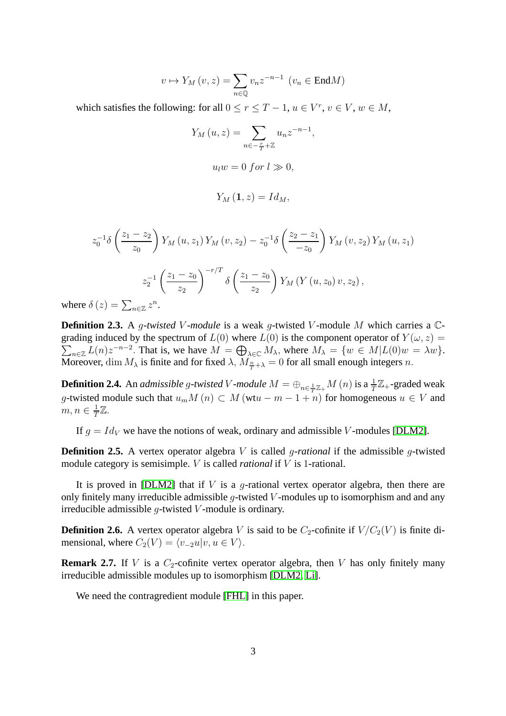$$
v \mapsto Y_M(v, z) = \sum_{n \in \mathbb{Q}} v_n z^{-n-1} \ (v_n \in \text{End}M)
$$

which satisfies the following: for all  $0 \le r \le T - 1$ ,  $u \in V^r$ ,  $v \in V$ ,  $w \in M$ ,

$$
Y_M(u, z) = \sum_{n \in -\frac{r}{T} + \mathbb{Z}} u_n z^{-n-1},
$$
  

$$
u_l w = 0 \text{ for } l \gg 0,
$$
  

$$
Y_M(\mathbf{1}, z) = Id_M,
$$

$$
z_0^{-1}\delta\left(\frac{z_1 - z_2}{z_0}\right)Y_M(u, z_1)Y_M(v, z_2) - z_0^{-1}\delta\left(\frac{z_2 - z_1}{-z_0}\right)Y_M(v, z_2)Y_M(u, z_1)
$$

$$
z_2^{-1}\left(\frac{z_1 - z_0}{z_2}\right)^{-r/T}\delta\left(\frac{z_1 - z_0}{z_2}\right)Y_M(Y(u, z_0)v, z_2),
$$

$$
\delta(z) = \sum_{n \in \mathbb{Z}} z^n.
$$

where n∈Z z

**Definition 2.3.** A *g*-twisted *V*-module is a weak *g*-twisted *V*-module *M* which carries a *C*- $\sum_{n\in\mathbb{Z}}L(n)z^{-n-2}$ . That is, we have  $M = \bigoplus_{\lambda\in\mathbb{C}}M_{\lambda}$ , where  $M_{\lambda} = \{w \in M | L(0)w = \lambda w\}$ . grading induced by the spectrum of  $L(0)$  where  $L(0)$  is the component operator of  $Y(\omega, z) =$ Moreover,  $\dim M_\lambda$  is finite and for fixed  $\lambda$ ,  $M_{\frac{n}{T}+\lambda}=0$  for all small enough integers n.

**Definition 2.4.** An *admissible g-twisted*  $V$ *-module*  $M = \oplus_{n \in \frac{1}{T}\mathbb{Z}_+} M(n)$  *is* a  $\frac{1}{T}\mathbb{Z}_+$ -graded weak g-twisted module such that  $u_m M(n) \subset M$  (wt $u - m - 1 + n$ ) for homogeneous  $u \in V$  and  $m, n \in \frac{1}{T}$  $\frac{1}{T}\mathbb{Z}.$ 

If  $g = Id_V$  we have the notions of weak, ordinary and admissible V-modules [\[DLM2\]](#page-14-8).

**Definition 2.5.** A vertex operator algebra V is called *q-rational* if the admissible *q*-twisted module category is semisimple. V is called *rational* if V is 1-rational.

It is proved in [\[DLM2\]](#page-14-8) that if  $V$  is a g-rational vertex operator algebra, then there are only finitely many irreducible admissible g-twisted  $V$ -modules up to isomorphism and and any irreducible admissible  $q$ -twisted  $V$ -module is ordinary.

**Definition 2.6.** A vertex operator algebra V is said to be  $C_2$ -cofinite if  $V/C_2(V)$  is finite dimensional, where  $C_2(V) = \langle v_{-2}u|v, u \in V \rangle$ .

**Remark 2.7.** If V is a  $C_2$ -cofinite vertex operator algebra, then V has only finitely many irreducible admissible modules up to isomorphism [\[DLM2,](#page-14-8) [Li\]](#page-14-9).

We need the contragredient module [\[FHL\]](#page-14-0) in this paper.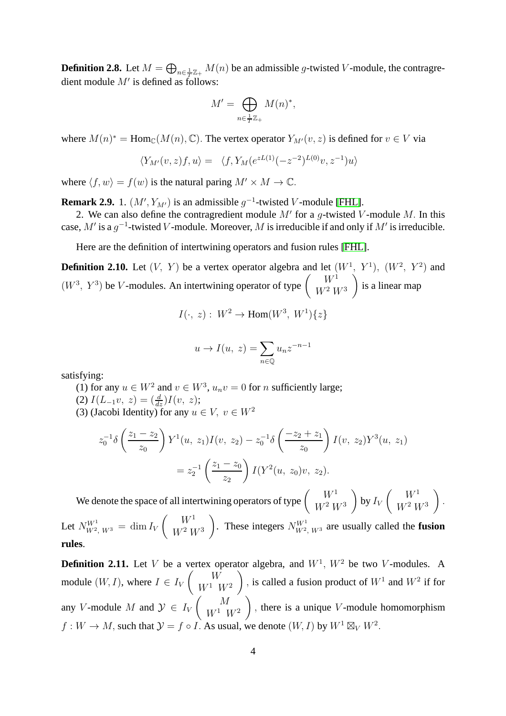**Definition 2.8.** Let  $M = \bigoplus_{n \in \frac{1}{T}\mathbb{Z}_+} M(n)$  be an admissible g-twisted V-module, the contragredient module  $M'$  is defined as follows:

$$
M' = \bigoplus_{n \in \frac{1}{T}\mathbb{Z}_+} M(n)^*,
$$

where  $M(n)^* = \text{Hom}_{\mathbb{C}}(M(n), \mathbb{C})$ . The vertex operator  $Y_{M'}(v, z)$  is defined for  $v \in V$  via

$$
\langle Y_{M'}(v,z)f,u\rangle = \langle f, Y_M(e^{zL(1)}(-z^{-2})^{L(0)}v,z^{-1})u\rangle
$$

where  $\langle f, w \rangle = f(w)$  is the natural paring  $M' \times M \to \mathbb{C}$ .

**Remark 2.9.** 1.  $(M', Y_{M'})$  is an admissible  $g^{-1}$ -twisted V-module [\[FHL\]](#page-14-0).

2. We can also define the contragredient module  $M'$  for a g-twisted V-module M. In this case, M' is a  $g^{-1}$ -twisted V-module. Moreover, M is irreducible if and only if M' is irreducible.

Here are the definition of intertwining operators and fusion rules [\[FHL\]](#page-14-0).

**Definition 2.10.** Let  $(V, Y)$  be a vertex operator algebra and let  $(W^1, Y^1)$ ,  $(W^2, Y^2)$  and  $(W^3, Y^3)$  be V-modules. An intertwining operator of type  $\begin{pmatrix} W^1 \\ W^2 \end{pmatrix}$  $W^2 W^3$ <sup>-</sup> is a linear map

$$
I(\cdot, z): W^2 \to \text{Hom}(W^3, W^1)\{z\}
$$

$$
u \to I(u, z) = \sum_{n \in \mathbb{Q}} u_n z^{-n-1}
$$

satisfying:

**rules**.

(1) for any  $u \in W^2$  and  $v \in W^3$ ,  $u_n v = 0$  for *n* sufficiently large;

- (2)  $I(L_{-1}v, z) = \left(\frac{d}{dz}\right)I(v, z);$
- (3) (Jacobi Identity) for any  $u \in V$ ,  $v \in W^2$

$$
z_0^{-1}\delta\left(\frac{z_1 - z_2}{z_0}\right)Y^1(u, z_1)I(v, z_2) - z_0^{-1}\delta\left(\frac{-z_2 + z_1}{z_0}\right)I(v, z_2)Y^3(u, z_1)
$$

$$
= z_2^{-1}\left(\frac{z_1 - z_0}{z_2}\right)I(Y^2(u, z_0)v, z_2).
$$

We denote the space of all intertwining operators of type  $\begin{pmatrix} W^1 \\ W^2 \end{pmatrix}$  $W^2 W^3$  $\lambda$ by  $I_V$  $\left( W^1 \right)$  $W^2 W^3$  $\lambda$ . Let  $N_{W^2, W^3}^{W^1} = \dim I_V$  $\left( W^1 \right)$  $W^2 W^3$ These integers  $N_{W^2, W^3}^{W^1}$  are usually called the **fusion** 

**Definition 2.11.** Let V be a vertex operator algebra, and  $W<sup>1</sup>$ ,  $W<sup>2</sup>$  be two V-modules. A module  $(W, I)$ , where  $I \in I_V$  $\begin{pmatrix} &W\end{pmatrix}$  $W^1$   $W^2$  $\lambda$ , is called a fusion product of  $W^1$  and  $W^2$  if for any V-module M and  $\mathcal{Y} \in I_V$  $\begin{pmatrix} M \end{pmatrix}$  $W^1$   $W^2$  $\overline{ }$ , there is a unique  $V$ -module homomorphism  $f: W \to M$ , such that  $\mathcal{Y} = f \circ I$ . As usual, we denote  $(W, I)$  by  $W^1 \boxtimes_V W^2$ .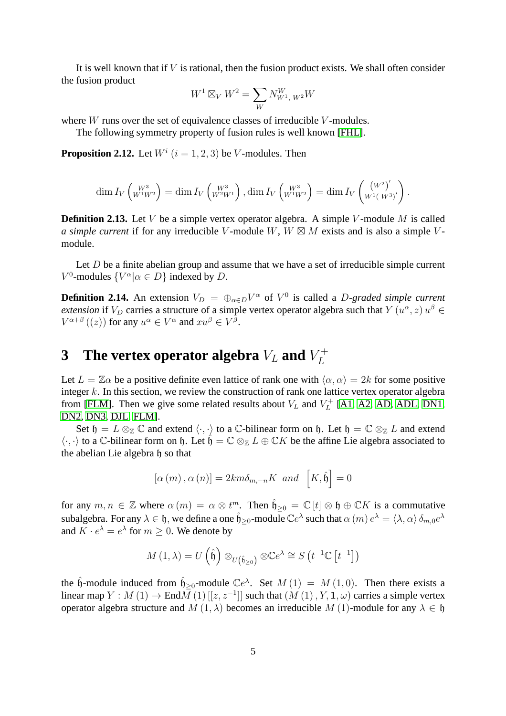It is well known that if  $V$  is rational, then the fusion product exists. We shall often consider the fusion product

$$
W^{1} \boxtimes_{V} W^{2} = \sum_{W} N_{W^{1}, W^{2}}^{W}
$$

where  $W$  runs over the set of equivalence classes of irreducible  $V$ -modules.

The following symmetry property of fusion rules is well known [\[FHL\]](#page-14-0).

<span id="page-4-0"></span>**Proposition 2.12.** Let  $W^i$   $(i = 1, 2, 3)$  be V-modules. Then

$$
\dim I_V \begin{pmatrix} W^3 \\ W^1 W^2 \end{pmatrix} = \dim I_V \begin{pmatrix} W^3 \\ W^2 W^1 \end{pmatrix}, \dim I_V \begin{pmatrix} W^3 \\ W^1 W^2 \end{pmatrix} = \dim I_V \begin{pmatrix} (W^2)' \\ W^1 (W^3)' \end{pmatrix}
$$

.

**Definition 2.13.** Let V be a simple vertex operator algebra. A simple V-module M is called *a simple current* if for any irreducible V-module W,  $W \boxtimes M$  exists and is also a simple Vmodule.

Let  $D$  be a finite abelian group and assume that we have a set of irreducible simple current  $V^0$ -modules  $\{V^{\alpha}|\alpha \in D\}$  indexed by D.

**Definition 2.14.** An extension  $V_D = \bigoplus_{\alpha \in D} V^{\alpha}$  of  $V^0$  is called a *D*-graded simple current *extension* if  $V_D$  carries a structure of a simple vertex operator algebra such that  $Y(u^{\alpha}, z) u^{\beta} \in \mathbb{R}^{n \times n}$  $V^{\alpha+\beta}((z))$  for any  $u^{\alpha} \in V^{\alpha}$  and  $xu^{\beta} \in V^{\beta}$ .

### **3** The vertex operator algebra  $V_L$  and  $V_L^+$ L

Let  $L = \mathbb{Z}\alpha$  be a positive definite even lattice of rank one with  $\langle \alpha, \alpha \rangle = 2k$  for some positive integer  $k$ . In this section, we review the construction of rank one lattice vertex operator algebra from [\[FLM\]](#page-14-7). Then we give some related results about  $V_L$  and  $V_L^+$  $L_L^+$  [\[A1,](#page-13-12) [A2,](#page-13-10) [AD,](#page-13-8) [ADL,](#page-13-9) [DN1,](#page-14-10) [DN2,](#page-14-5) [DN3,](#page-14-11) [DJL,](#page-14-6) [FLM\]](#page-14-7).

Set  $\mathfrak{h} = L \otimes_{\mathbb{Z}} \mathbb{C}$  and extend  $\langle \cdot, \cdot \rangle$  to a  $\mathbb{C}\text{-bilinear form on }\mathfrak{h}$ . Let  $\mathfrak{h} = \mathbb{C} \otimes_{\mathbb{Z}} L$  and extend  $\langle \cdot, \cdot \rangle$  to a C-bilinear form on h. Let  $\mathfrak{h} = \mathbb{C} \otimes_{\mathbb{Z}} L \oplus \mathbb{C} K$  be the affine Lie algebra associated to the abelian Lie algebra h so that

$$
\left[\alpha\left(m\right),\alpha\left(n\right)\right]=2km\delta_{m,-n}K\;\;and\;\; \left[K,\hat{\mathfrak{h}}\right]=0
$$

for any  $m, n \in \mathbb{Z}$  where  $\alpha(m) = \alpha \otimes t^m$ . Then  $\hat{\mathfrak{h}}_{\geq 0} = \mathbb{C} [t] \otimes \mathfrak{h} \oplus \mathbb{C} K$  is a commutative subalgebra. For any  $\lambda \in \mathfrak{h}$ , we define a one  $\hat{\mathfrak{h}}_{\geq 0}$ -module  $\mathbb{C}e^{\lambda}$  such that  $\alpha(m) e^{\lambda} = \langle \lambda, \alpha \rangle \, \delta_{m,0} e^{\lambda}$ and  $K \cdot e^{\lambda} = e^{\lambda}$  for  $m \ge 0$ . We denote by

$$
M(1,\lambda) = U(\hat{\mathfrak{h}}) \otimes_{U(\hat{\mathfrak{h}}_{\geq 0})} \otimes \mathbb{C}e^{\lambda} \cong S(t^{-1}\mathbb{C}[t^{-1}])
$$

the  $\hat{\mathfrak{h}}$ -module induced from  $\hat{\mathfrak{h}}_{\geq 0}$ -module  $\mathbb{C}e^{\lambda}$ . Set  $M(1) = M(1,0)$ . Then there exists a linear map  $Y : M(1) \to \text{End}\overline{M}(1)[[z, z^{-1}]]$  such that  $(M(1), Y, 1, \omega)$  carries a simple vertex operator algebra structure and  $M(1, \lambda)$  becomes an irreducible  $M(1)$ -module for any  $\lambda \in \mathfrak{h}$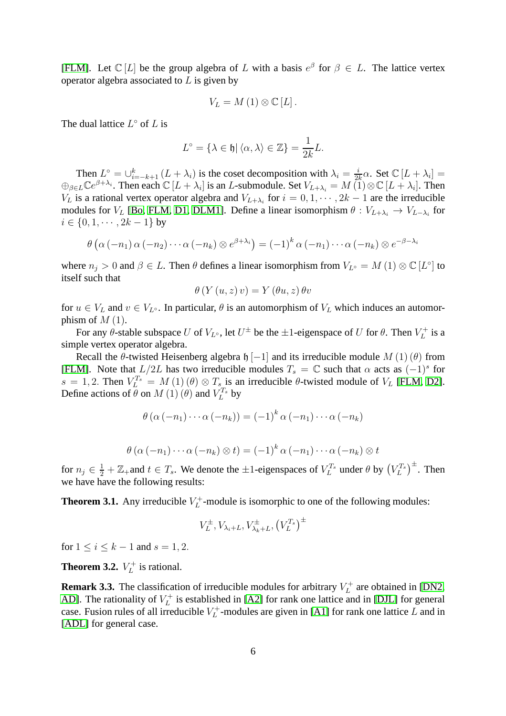[\[FLM\]](#page-14-7). Let  $\mathbb{C}[L]$  be the group algebra of L with a basis  $e^{\beta}$  for  $\beta \in L$ . The lattice vertex operator algebra associated to  $L$  is given by

$$
V_{L}=M(1)\otimes \mathbb{C}[L].
$$

The dual lattice  $L^{\circ}$  of L is

$$
L^{\circ} = \{ \lambda \in \mathfrak{h} | \langle \alpha, \lambda \rangle \in \mathbb{Z} \} = \frac{1}{2k}L.
$$

Then  $L^{\circ} = \bigcup_{i=-k+1}^{k} (L + \lambda_i)$  is the coset decomposition with  $\lambda_i = \frac{i}{2i}$  $\frac{i}{2k}\alpha$ . Set  $\mathbb{C}[L+\lambda_i]=$  $\bigoplus_{\beta \in L} \mathbb{C}e^{\beta + \lambda_i}$ . Then each  $\mathbb{C} [L + \lambda_i]$  is an *L*-submodule. Set  $V_{L+\lambda_i} = M(\overline{1}) \otimes \mathbb{C} [L + \lambda_i]$ . Then  $V_L$  is a rational vertex operator algebra and  $V_{L+\lambda_i}$  for  $i = 0, 1, \dots, 2k - 1$  are the irreducible modules for  $V_L$  [\[Bo,](#page-13-11) [FLM,](#page-14-7) [D1,](#page-13-6) [DLM1\]](#page-14-12). Define a linear isomorphism  $\theta : V_{L+\lambda_i} \to V_{L-\lambda_i}$  for  $i \in \{0, 1, \cdots, 2k-1\}$  by

$$
\theta\left(\alpha\left(-n_1\right)\alpha\left(-n_2\right)\cdots\alpha\left(-n_k\right)\otimes e^{\beta+\lambda_i}\right) = \left(-1\right)^k \alpha\left(-n_1\right)\cdots\alpha\left(-n_k\right)\otimes e^{-\beta-\lambda_i}
$$

where  $n_j > 0$  and  $\beta \in L$ . Then  $\theta$  defines a linear isomorphism from  $V_{L^{\circ}} = M(1) \otimes \mathbb{C}[L^{\circ}]$  to itself such that

$$
\theta\left(Y\left(u,z\right)v\right) = Y\left(\theta u,z\right)\theta v
$$

for  $u \in V_L$  and  $v \in V_{L}$ <sup>o</sup>. In particular,  $\theta$  is an automorphism of  $V_L$  which induces an automorphism of  $M(1)$ .

For any  $\theta$ -stable subspace U of  $V_{L^{\circ}}$ , let  $U^{\pm}$  be the  $\pm 1$ -eigenspace of U for  $\theta$ . Then  $V_L^+$  $L^+$  is a simple vertex operator algebra.

Recall the  $\theta$ -twisted Heisenberg algebra h [−1] and its irreducible module  $M(1)(\theta)$  from [\[FLM\]](#page-14-7). Note that  $L/2L$  has two irreducible modules  $T_s = \mathbb{C}$  such that  $\alpha$  acts as  $(-1)^s$  for  $s = 1, 2$ . Then  $V_L^{T_s} = M(1)(\theta) \otimes T_s$  is an irreducible  $\theta$ -twisted module of  $V_L$  [\[FLM,](#page-14-7) [D2\]](#page-13-7). Define actions of  $\theta$  on  $M(1)$  ( $\theta$ ) and  $V_L^{T_s}$  $L^{T_s}$  by

$$
\theta\left(\alpha\left(-n_{1}\right)\cdots\alpha\left(-n_{k}\right)\right)=\left(-1\right)^{k}\alpha\left(-n_{1}\right)\cdots\alpha\left(-n_{k}\right)
$$

$$
\theta\left(\alpha\left(-n_{1}\right)\cdots\alpha\left(-n_{k}\right)\otimes t\right)=\left(-1\right)^{k}\alpha\left(-n_{1}\right)\cdots\alpha\left(-n_{k}\right)\otimes t
$$

for  $n_j \in \frac{1}{2} + \mathbb{Z}_+$  and  $t \in T_s$ . We denote the  $\pm 1$ -eigenspaces of  $V_L^{T_s}$  under  $\theta$  by  $(V_L^{T_s})^{\pm}$ . Then we have have the following results:

**Theorem 3.1.** Any irreducible  $V_L^+$  $L_L^+$ -module is isomorphic to one of the following modules:

$$
V_L^{\pm}, V_{\lambda_i+L}, V_{\lambda_k+L}^{\pm}, \left(V_L^{T_s}\right)^{\pm}
$$

for  $1 \le i \le k - 1$  and  $s = 1, 2$ .

**Theorem 3.2.**  $V_L^+$  $L^+$  is rational.

**Remark 3.3.** The classification of irreducible modules for arbitrary  $V_L^+$  $L^+$  are obtained in [\[DN2,](#page-14-5) [AD\]](#page-13-8). The rationality of  $V_L^+$  $L_L^+$  is established in [\[A2\]](#page-13-10) for rank one lattice and in [\[DJL\]](#page-14-6) for general case. Fusion rules of all irreducible  $V_L^+$  $L_L^+$ -modules are given in [\[A1\]](#page-13-12) for rank one lattice L and in [\[ADL\]](#page-13-9) for general case.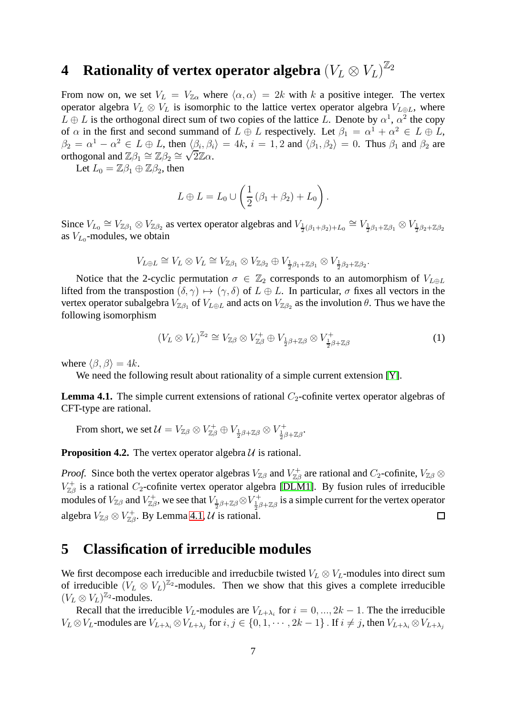# **4** Rationality of vertex operator algebra  $\left(V_L \otimes V_L\right)^{\mathbb{Z}_2}$

From now on, we set  $V_L = V_{Z\alpha}$  where  $\langle \alpha, \alpha \rangle = 2k$  with k a positive integer. The vertex operator algebra  $V_L \otimes V_L$  is isomorphic to the lattice vertex operator algebra  $V_{L\oplus L}$ , where  $L \oplus L$  is the orthogonal direct sum of two copies of the lattice L. Denote by  $\alpha^1$ ,  $\alpha^2$  the copy of  $\alpha$  in the first and second summand of  $L \oplus L$  respectively. Let  $\beta_1 = \alpha^1 + \alpha^2 \in L \oplus L$ ,  $\beta_2 = \alpha^1 - \alpha^2 \in L \oplus L$ , then  $\langle \beta_i, \beta_i \rangle = 4k$ ,  $i = 1, 2$  and  $\langle \beta_1, \beta_2 \rangle = 0$ . Thus  $\beta_1$  and  $\beta_2$  are orthogonal and  $\mathbb{Z}\beta_1 \cong \mathbb{Z}\beta_2 \cong \sqrt{2}\mathbb{Z}\alpha$ .

Let  $L_0 = \mathbb{Z}\beta_1 \oplus \mathbb{Z}\beta_2$ , then

$$
L \oplus L = L_0 \cup \left(\frac{1}{2} \left(\beta_1 + \beta_2\right) + L_0\right).
$$

Since  $V_{L_0} \cong V_{\mathbb{Z}\beta_1} \otimes V_{\mathbb{Z}\beta_2}$  as vertex operator algebras and  $V_{\frac{1}{2}(\beta_1+\beta_2)+L_0} \cong V_{\frac{1}{2}\beta_1+\mathbb{Z}\beta_1} \otimes V_{\frac{1}{2}\beta_2+\mathbb{Z}\beta_2}$ as  $V_{L_0}$ -modules, we obtain

$$
V_{L\oplus L}\cong V_L\otimes V_L\cong V_{\mathbb{Z}\beta_1}\otimes V_{\mathbb{Z}\beta_2}\oplus V_{\frac{1}{2}\beta_1+\mathbb{Z}\beta_1}\otimes V_{\frac{1}{2}\beta_2+\mathbb{Z}\beta_2}.
$$

Notice that the 2-cyclic permutation  $\sigma \in \mathbb{Z}_2$  corresponds to an automorphism of  $V_{L\oplus L}$ lifted from the transpostion  $(\delta, \gamma) \mapsto (\gamma, \delta)$  of  $L \oplus L$ . In particular,  $\sigma$  fixes all vectors in the vertex operator subalgebra  $V_{\mathbb{Z}\beta_1}$  of  $V_{L\oplus L}$  and acts on  $V_{\mathbb{Z}\beta_2}$  as the involution  $\theta$ . Thus we have the following isomorphism

$$
(V_L \otimes V_L)^{\mathbb{Z}_2} \cong V_{\mathbb{Z}\beta} \otimes V_{\mathbb{Z}\beta}^+ \oplus V_{\frac{1}{2}\beta + \mathbb{Z}\beta} \otimes V_{\frac{1}{2}\beta + \mathbb{Z}\beta}^+ \tag{1}
$$

where  $\langle \beta, \beta \rangle = 4k$ .

We need the following result about rationality of a simple current extension [\[Y\]](#page-14-13).

<span id="page-6-0"></span>**Lemma 4.1.** The simple current extensions of rational  $C_2$ -cofinite vertex operator algebras of CFT-type are rational.

From short, we set  $\mathcal{U}=V_{\mathbb{Z}\beta}\otimes V_{\mathbb{Z}\beta}^+\oplus V_{\frac{1}{2}\beta+\mathbb{Z}\beta}\otimes V_{\frac{1}{2}\beta+\mathbb{Z}\beta}^+.$ 

<span id="page-6-1"></span>**Proposition 4.2.** The vertex operator algebra  $U$  is rational.

*Proof.* Since both the vertex operator algebras  $V_{\mathbb{Z}\beta}$  and  $V_{\mathbb{Z}\beta}^+$  are rational and  $C_2$ -cofinite,  $V_{\mathbb{Z}\beta} \otimes$  $V_{\mathbb{Z}\beta}^+$  is a rational  $C_2$ -cofinite vertex operator algebra [\[DLM1\]](#page-14-12). By fusion rules of irreducible modules of  $V_{\mathbb{Z}\beta}$  and  $V_{\mathbb{Z}\beta}^+$ , we see that  $V_{\frac{1}{2}\beta+\mathbb{Z}\beta}\otimes V_{\frac{1}{2}\beta+\mathbb{Z}\beta}^+$  is a simple current for the vertex operator algebra  $V_{\mathbb{Z}\beta}\otimes V_{\mathbb{Z}\beta}^+$ . By Lemma [4.1,](#page-6-0)  $\mathcal U$  is rational.  $\Box$ 

## **5 Classification of irreducible modules**

We first decompose each irreducible and irreducbile twisted  $V_L \otimes V_L$ -modules into direct sum of irreducible  $(V_L \otimes V_L)^{\mathbb{Z}_2}$ -modules. Then we show that this gives a complete irreducible  $(V_L \otimes V_L)^{\mathbb{Z}_2}$ -modules.

Recall that the irreducible  $V_L$ -modules are  $V_{L+\lambda_i}$  for  $i = 0, ..., 2k - 1$ . The the irreducible  $V_L \otimes V_L$ -modules are  $V_{L+\lambda_i} \otimes V_{L+\lambda_j}$  for  $i, j \in \{0, 1, \cdots, 2k-1\}$ . If  $i \neq j$ , then  $V_{L+\lambda_i} \otimes V_{L+\lambda_j}$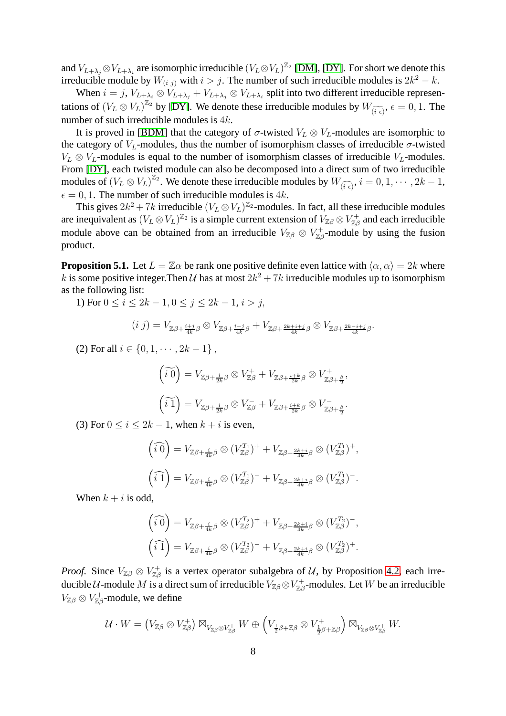and  $V_{L+\lambda_j} \otimes V_{L+\lambda_i}$  are isomorphic irreducible  $(V_L \otimes V_L)^{\mathbb{Z}_2}$  [\[DM\]](#page-14-14), [\[DY\]](#page-14-15). For short we denote this irreducible module by  $W_{(i,j)}$  with  $i > j$ . The number of such irreducible modules is  $2k^2 - k$ .

When  $i = j$ ,  $V_{L+\lambda_j} \otimes V_{L+\lambda_j} + V_{L+\lambda_j} \otimes V_{L+\lambda_i}$  split into two different irreducible representations of  $(V_L \otimes V_L)^{\mathbb{Z}_2}$  by [\[DY\]](#page-14-15). We denote these irreducible modules by  $W_{(\widetilde{i} \epsilon)}, \epsilon = 0, 1$ . The number of such irreducible modules is 4k.

It is proved in [\[BDM\]](#page-13-2) that the category of  $\sigma$ -twisted  $V_L \otimes V_L$ -modules are isomorphic to the category of  $V_L$ -modules, thus the number of isomorphism classes of irreducible  $\sigma$ -twisted  $V_L \otimes V_L$ -modules is equal to the number of isomorphism classes of irreducible  $V_L$ -modules. From [\[DY\]](#page-14-15), each twisted module can also be decomposed into a direct sum of two irreducible modules of  $(V_L \otimes V_L)^{\mathbb{Z}_2}$ . We denote these irreducible modules by  $W_{(\widehat{i} \epsilon)}, i = 0, 1, \cdots, 2k - 1$ ,  $\epsilon = 0, 1$ . The number of such irreducible modules is 4k.

This gives  $2k^2 + 7k$  irreducible  $(V_L \otimes V_L)^{\mathbb{Z}_2}$ -modules. In fact, all these irreducible modules are inequivalent as  $(V_L \otimes V_L)^{\mathbb{Z}_2}$  is a simple current extension of  $V_{\mathbb{Z}\beta}\otimes V_{\mathbb{Z}\beta}^+$  and each irreducible module above can be obtained from an irreducible  $V_{\mathbb{Z}\beta} \otimes V_{\mathbb{Z}\beta}^+$ -module by using the fusion product.

<span id="page-7-0"></span>**Proposition 5.1.** Let  $L = \mathbb{Z}\alpha$  be rank one positive definite even lattice with  $\langle \alpha, \alpha \rangle = 2k$  where k is some positive integer. Then U has at most  $2k^2 + 7k$  irreducible modules up to isomorphism as the following list:

1) For  $0 \le i \le 2k - 1$ ,  $0 \le j \le 2k - 1$ ,  $i > j$ ,

$$
(i j) = V_{\mathbb{Z}\beta + \frac{i+j}{4k}\beta} \otimes V_{\mathbb{Z}\beta + \frac{i-j}{4k}\beta} + V_{\mathbb{Z}\beta + \frac{2k+i+j}{4k}\beta} \otimes V_{\mathbb{Z}\beta + \frac{2k-i+j}{4k}\beta}.
$$

(2) For all  $i \in \{0, 1, \dots, 2k - 1\}$ ,

$$
\begin{aligned}\n\left(\widetilde{i\ 0}\right) &= V_{\mathbb{Z}\beta + \frac{i}{2k}\beta} \otimes V_{\mathbb{Z}\beta}^+ + V_{\mathbb{Z}\beta + \frac{i+k}{2k}\beta} \otimes V_{\mathbb{Z}\beta + \frac{\beta}{2}}^+ \\
\left(\widetilde{i\ 1}\right) &= V_{\mathbb{Z}\beta + \frac{i}{2k}\beta} \otimes V_{\mathbb{Z}\beta}^- + V_{\mathbb{Z}\beta + \frac{i+k}{2k}\beta} \otimes V_{\mathbb{Z}\beta + \frac{\beta}{2}}^-.\n\end{aligned}
$$

(3) For  $0 \le i \le 2k - 1$ , when  $k + i$  is even,

$$
(\widehat{i\ 0}) = V_{\mathbb{Z}\beta + \frac{i}{4k}\beta} \otimes (V_{\mathbb{Z}\beta}^{T_1})^+ + V_{\mathbb{Z}\beta + \frac{2k+i}{4k}\beta} \otimes (V_{\mathbb{Z}\beta}^{T_1})^+,
$$

$$
(\widehat{i\ 1}) = V_{\mathbb{Z}\beta + \frac{i}{4k}\beta} \otimes (V_{\mathbb{Z}\beta}^{T_1})^- + V_{\mathbb{Z}\beta + \frac{2k+i}{4k}\beta} \otimes (V_{\mathbb{Z}\beta}^{T_1})^-.
$$

When  $k + i$  is odd,

$$
\begin{aligned}\n\left(\widehat{i\ 0}\right) &= V_{\mathbb{Z}\beta + \frac{i}{4k}\beta} \otimes (V_{\mathbb{Z}\beta}^{T_2})^+ + V_{\mathbb{Z}\beta + \frac{2k+i}{4k}\beta} \otimes (V_{\mathbb{Z}\beta}^{T_2})^-, \\
\left(\widehat{i\ 1}\right) &= V_{\mathbb{Z}\beta + \frac{i}{4k}\beta} \otimes (V_{\mathbb{Z}\beta}^{T_2})^- + V_{\mathbb{Z}\beta + \frac{2k+i}{4k}\beta} \otimes (V_{\mathbb{Z}\beta}^{T_2})^+.\n\end{aligned}
$$

*Proof.* Since  $V_{\mathbb{Z}\beta}\otimes V_{\mathbb{Z}\beta}^+$  is a vertex operator subalgebra of U, by Proposition [4.2,](#page-6-1) each irreducible  $\cal U$ -module  $M$  is a direct sum of irreducible  $V_{\mathbb{Z}\beta}\otimes V_{\mathbb{Z}\beta}^+$ -modules. Let  $W$  be an irreducible  $V_{\mathbb{Z}\beta}\otimes V_{\mathbb{Z}\beta}^+$ -module, we define

$$
\mathcal{U}\cdot W=\left(V_{\mathbb{Z}\beta}\otimes V_{\mathbb{Z}\beta}^+\right)\boxtimes_{V_{\mathbb{Z}\beta}\otimes V_{\mathbb{Z}\beta}^+}W\oplus\left(V_{\frac{1}{2}\beta+\mathbb{Z}\beta}\otimes V_{\frac{1}{2}\beta+\mathbb{Z}\beta}^+\right)\boxtimes_{V_{\mathbb{Z}\beta}\otimes V_{\mathbb{Z}\beta}^+}W.
$$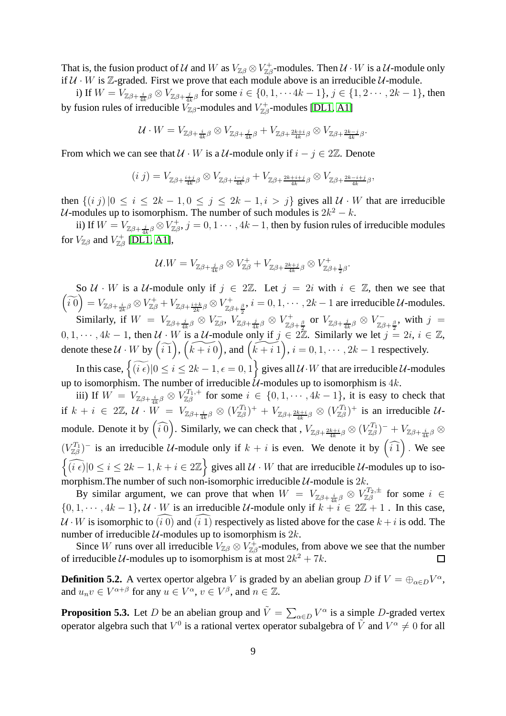That is, the fusion product of U and W as  $V_{\mathbb{Z}\beta}\otimes V_{\mathbb{Z}\beta}^+$  modules. Then  $\mathcal{U}\cdot W$  is a  $\mathcal{U}\text{-module}$  only if  $U \cdot W$  is Z-graded. First we prove that each module above is an irreducible  $U$ -module.

i) If  $W=V_{\mathbb{Z}\beta+\frac{i}{4k}\beta}\otimes V_{\mathbb{Z}\beta+\frac{j}{4k}\beta}$  for some  $i\in\{0,1,\cdots 4k-1\},$   $j\in\{1,2\cdots,2k-1\},$  then by fusion rules of irreducible  $V_{\mathbb{Z}\beta}$ -modules and  $V_{\mathbb{Z}\beta}^+$ -modules [\[DL1,](#page-14-16) [A1\]](#page-13-12)

$$
\mathcal{U}\cdot W=V_{\mathbb{Z}\beta+\frac{i}{4k}\beta}\otimes V_{\mathbb{Z}\beta+\frac{j}{4k}\beta}+V_{\mathbb{Z}\beta+\frac{2k+i}{4k}\beta}\otimes V_{\mathbb{Z}\beta+\frac{2k-j}{4k}\beta}.
$$

From which we can see that  $U \cdot W$  is a  $U$ -module only if  $i - j \in 2\mathbb{Z}$ . Denote

$$
(i j) = V_{\mathbb{Z}\beta + \frac{i+j}{4k}\beta} \otimes V_{\mathbb{Z}\beta + \frac{i-j}{4k}\beta} + V_{\mathbb{Z}\beta + \frac{2k+i+j}{4k}\beta} \otimes V_{\mathbb{Z}\beta + \frac{2k-i+j}{4k}\beta},
$$

then  $\{(i\ j) \,|\, 0 \le i \le 2k-1, 0 \le j \le 2k-1, i > j\}$  gives all  $\mathcal{U} \cdot W$  that are irreducible U-modules up to isomorphism. The number of such modules is  $2k^2 - k$ .

ii) If  $W = V_{\mathbb{Z}\beta + \frac{j}{4k}\beta} \otimes V_{\mathbb{Z}\beta}^+, j = 0, 1 \cdots, 4k - 1$ , then by fusion rules of irreducible modules for  $V_{\mathbb{Z}\beta}$  and  $V_{\mathbb{Z}\beta}^{+}$  [\[DL1,](#page-14-16) [A1\]](#page-13-12),

$$
\mathcal{U}.W = V_{\mathbb{Z}\beta + \frac{j}{4k}\beta} \otimes V_{\mathbb{Z}\beta}^+ + V_{\mathbb{Z}\beta + \frac{2k+j}{4k}\beta} \otimes V_{\mathbb{Z}\beta + \frac{1}{2}\beta}^+.
$$

So  $U \cdot W$  is a  $U$ -module only if  $j \in 2\mathbb{Z}$ . Let  $j = 2i$  with  $i \in \mathbb{Z}$ , then we see that  $\widetilde{\binom{0}{i}} = V_{\mathbb{Z}\beta + \frac{i}{2k}\beta} \otimes V_{\mathbb{Z}\beta}^+ + V_{\mathbb{Z}\beta + \frac{i+k}{2k}\beta} \otimes V_{\mathbb{Z}\beta}^+$  $\chi^{\mu+}_{\mathbb{Z}\beta+\frac{\beta}{2}}$ ,  $i=0,1,\cdots,2k-1$  are irreducible  $\mathcal{U}$ -modules. Similarly, if  $W = V_{\mathbb{Z}\beta + \frac{j}{4k}\beta} \otimes V_{\mathbb{Z}\beta}^{-}, V_{\mathbb{Z}\beta}^{-}$ 

 $V^-_{\mathbb{Z}\beta},~ V^-_{\mathbb{Z}\beta + \frac{j}{4k} \beta} \otimes V^+_{\mathbb{Z}\beta}$  $\frac{\gamma+}{\mathbb{Z}\beta+\frac{\beta}{2}}$  or  $V_{\mathbb{Z}\beta+\frac{j}{4k}\beta}\otimes V_{\mathbb{Z}\beta}^ \chi^-_{\mathbb{Z}\beta+\frac{\beta}{2}}$ , with  $j =$  $0, 1, \dots, 4k - 1$ , then  $\mathcal{U} \cdot W$  is a  $\mathcal{U}$ -module only if  $j \in 2\mathbb{Z}$ . Similarly we let  $j = 2i, i \in \mathbb{Z}$ , denote these  $U \cdot W$  by  $(\widetilde{i1}), (\widetilde{k+i0}),$  and  $(\widetilde{k+i1}), i = 0, 1, \cdots, 2k - 1$  respectively.

In this case,  $\left\{ \widetilde{\left(i \epsilon\right)} | 0 \leq i \leq 2k - 1, \epsilon = 0, 1 \right\}$  gives all  $\mathcal{U} \cdot W$  that are irreducible  $\mathcal{U}$ -modules up to isomorphism. The number of irreducible  $\mathcal{U}$ -modules up to isomorphism is 4k.

iii) If  $W = V_{\mathbb{Z}\beta + \frac{i}{4k}\beta} \otimes V_{\mathbb{Z}\beta}^{T_1,+}$  $Z_{\beta}^{I_1,+}$  for some  $i \in \{0,1,\dots,4k-1\}$ , it is easy to check that if  $k + i \in 2\mathbb{Z}$ ,  $\mathcal{U} \cdot W = V_{\mathbb{Z}\beta + \frac{i}{4k}\beta} \otimes (V_{\mathbb{Z}\beta}^{T_1})^+ + V_{\mathbb{Z}\beta + \frac{2k+i}{4k}\beta} \otimes (V_{\mathbb{Z}\beta}^{T_1})^+$  is an irreducible  $\mathcal{U}$ module. Denote it by  $\left(\widehat{i0}\right)$ . Similarly, we can check that,  $V_{\mathbb{Z}\beta+\frac{2k+i}{4k}\beta} \otimes (V_{\mathbb{Z}\beta}^{T_1})^- + V_{\mathbb{Z}\beta+\frac{i}{4k}\beta} \otimes$  $(V_{\mathbb{Z}\beta}^{T_1})$ <sup>-</sup> is an irreducible U-module only if  $k + i$  is even. We denote it by  $(\widehat{i1})$ . We see  $\left\{\widehat{(i \epsilon)}|0 \le i \le 2k-1, k+i \in 2\mathbb{Z}\right\}$  gives all  $\mathcal{U} \cdot W$  that are irreducible  $\mathcal{U}$ -modules up to isomorphism. The number of such non-isomorphic irreducible  $\mathcal{U}$ -module is  $2k$ .

By similar argument, we can prove that when  $W = V_{\mathbb{Z}\beta + \frac{i}{4k}\beta} \otimes V_{\mathbb{Z}\beta}^{T_2,\pm}$  $Z_{\beta}^{T_2,\pm}$  for some  $i \in$  $\{0, 1, \dots, 4k-1\}, \mathcal{U} \cdot W$  is an irreducible  $\mathcal{U}$ -module only if  $k + i \in 2\mathbb{Z} + 1$ . In this case,  $U \cdot W$  is isomorphic to  $\widehat{a}(\widehat{d})$  and  $\widehat{a}(\widehat{i})$  respectively as listed above for the case  $k + i$  is odd. The number of irreducible  $U$ -modules up to isomorphism is  $2k$ .

Since W runs over all irreducible  $V_{\mathbb{Z}\beta}\otimes V_{\mathbb{Z}\beta}^+$ -modules, from above we see that the number of irreducible U-modules up to isomorphism is at most  $2k^2 + 7k$ .  $\Box$ 

**Definition 5.2.** A vertex opertor algebra V is graded by an abelian group D if  $V = \bigoplus_{\alpha \in D} V^{\alpha}$ , and  $u_n v \in V^{\alpha+\beta}$  for any  $u \in V^{\alpha}$ ,  $v \in V^{\beta}$ , and  $n \in \mathbb{Z}$ .

**Proposition 5.3.** Let D be an abelian group and  $\tilde{V} = \sum_{\alpha \in D} V^{\alpha}$  is a simple D-graded vertex operator algebra such that  $V^0$  is a rational vertex operator subalgebra of  $\tilde{V}$  and  $V^{\alpha} \neq 0$  for all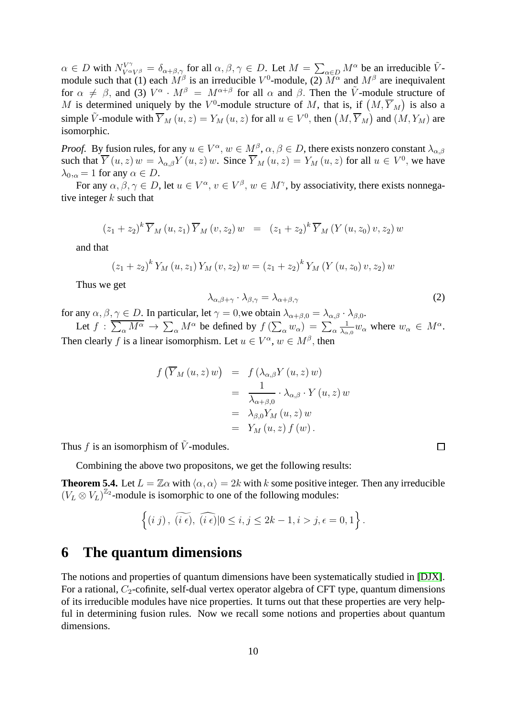$\alpha \in D$  with  $N_{V \alpha V^{\beta}}^{V^{\gamma}} = \delta_{\alpha+\beta,\gamma}$  for all  $\alpha, \beta, \gamma \in D$ . Let  $M = \sum_{\alpha \in D} M^{\alpha}$  be an irreducible  $\tilde{V}$ module such that (1) each  $M^{\beta}$  is an irreducible  $V^{0}$ -module, (2)  $M^{\alpha}$  and  $M^{\beta}$  are inequivalent for  $\alpha \neq \beta$ , and (3)  $V^{\alpha} \cdot M^{\beta} = M^{\alpha+\beta}$  for all  $\alpha$  and  $\beta$ . Then the  $\tilde{V}$ -module structure of M is determined uniquely by the  $V^0$ -module structure of M, that is, if  $(M, \overline{Y}_M)$  is also a simple  $\tilde{V}$ -module with  $\overline{Y}_M(u, z) = Y_M(u, z)$  for all  $u \in V^0$ , then  $(M, \overline{Y}_M)$  and  $(M, Y_M)$  are isomorphic.

*Proof.* By fusion rules, for any  $u \in V^{\alpha}$ ,  $w \in M^{\beta}$ ,  $\alpha, \beta \in D$ , there exists nonzero constant  $\lambda_{\alpha,\beta}$ such that  $\overline{Y}(u, z) w = \lambda_{\alpha, \beta} Y(u, z) w$ . Since  $\overline{Y}_M(u, z) = Y_M(u, z)$  for all  $u \in V^0$ , we have  $\lambda_{0,\alpha} = 1$  for any  $\alpha \in D$ .

For any  $\alpha, \beta, \gamma \in D$ , let  $u \in V^{\alpha}$ ,  $v \in V^{\beta}$ ,  $w \in M^{\gamma}$ , by associativity, there exists nonnegative integer  $k$  such that

$$
(z_1 + z_2)^k \overline{Y}_M(u, z_1) \overline{Y}_M(v, z_2) w = (z_1 + z_2)^k \overline{Y}_M(Y(u, z_0) v, z_2) w
$$

and that

$$
(z_1 + z_2)^k Y_M(u, z_1) Y_M(v, z_2) w = (z_1 + z_2)^k Y_M(Y(u, z_0) v, z_2) w
$$

Thus we get

$$
\lambda_{\alpha,\beta+\gamma} \cdot \lambda_{\beta,\gamma} = \lambda_{\alpha+\beta,\gamma} \tag{2}
$$

for any  $\alpha, \beta, \gamma \in D$ . In particular, let  $\gamma = 0$ , we obtain  $\lambda_{\alpha+\beta,0} = \lambda_{\alpha,\beta} \cdot \lambda_{\beta,0}$ . 1

Let  $f: \overline{\sum_{\alpha} M^{\alpha}} \to \sum_{\alpha} M^{\alpha}$  be defined by  $f(\sum_{\alpha} w_{\alpha}) = \sum_{\alpha}$  $\frac{1}{\lambda_{\alpha,0}}w_\alpha$  where  $w_\alpha \in M^\alpha$ . Then clearly f is a linear isomorphism. Let  $u \in V^{\alpha}$ ,  $w \in M^{\beta}$ , then

$$
f\left(\overline{Y}_M(u,z) w\right) = f\left(\lambda_{\alpha,\beta} Y(u,z) w\right)
$$
  
= 
$$
\frac{1}{\lambda_{\alpha+\beta,0}} \cdot \lambda_{\alpha,\beta} \cdot Y(u,z) w
$$
  
= 
$$
\lambda_{\beta,0} Y_M(u,z) w
$$
  
= 
$$
Y_M(u,z) f(w).
$$

Thus f is an isomorphism of  $\tilde{V}$ -modules.

Combining the above two propositons, we get the following results:

**Theorem 5.4.** Let  $L = \mathbb{Z}\alpha$  with  $\langle \alpha, \alpha \rangle = 2k$  with k some positive integer. Then any irreducible  $(V_L \otimes V_L)^{\mathbb{Z}_2}$ -module is isomorphic to one of the following modules:

$$
\left\{(i\ j)\,,\ \widetilde{(i\ \epsilon)},\ \widehat{(i\ \epsilon)}|0\leq i,j\leq 2k-1, i>j, \epsilon=0,1\right\}.
$$

### **6 The quantum dimensions**

The notions and properties of quantum dimensions have been systematically studied in [\[DJX\]](#page-14-17). For a rational,  $C_2$ -cofinite, self-dual vertex operator algebra of CFT type, quantum dimensions of its irreducible modules have nice properties. It turns out that these properties are very helpful in determining fusion rules. Now we recall some notions and properties about quantum dimensions.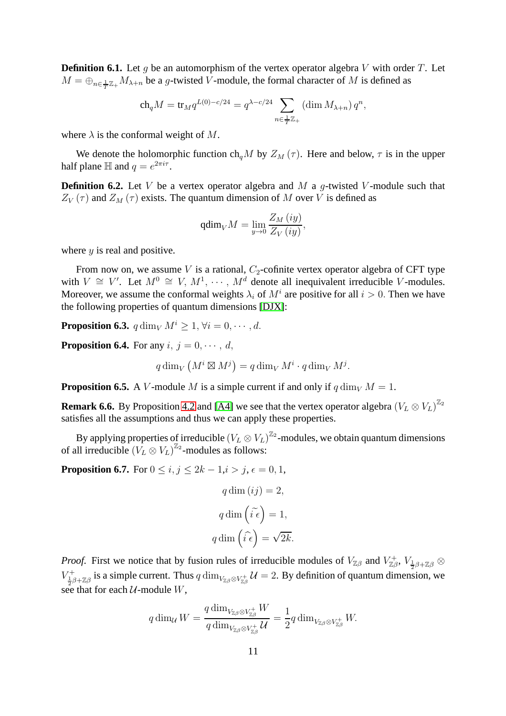**Definition 6.1.** Let q be an automorphism of the vertex operator algebra V with order T. Let  $M = \bigoplus_{n \in \frac{1}{T}\mathbb{Z}_+} M_{\lambda+n}$  be a g-twisted V-module, the formal character of M is defined as

$$
\operatorname{ch}_q M = \operatorname{tr}_M q^{L(0)-c/24} = q^{\lambda - c/24} \sum_{n \in \frac{1}{T}\mathbb{Z}_+} (\dim M_{\lambda+n}) q^n,
$$

where  $\lambda$  is the conformal weight of M.

We denote the holomorphic function ch<sub>a</sub>M by  $Z_M(\tau)$ . Here and below,  $\tau$  is in the upper half plane  $\mathbb H$  and  $q = e^{2\pi i \tau}$ .

**Definition 6.2.** Let V be a vertex operator algebra and M a  $q$ -twisted V-module such that  $Z_V(\tau)$  and  $Z_M(\tau)$  exists. The quantum dimension of M over V is defined as

$$
\operatorname{qdim}_{V} M = \lim_{y \to 0} \frac{Z_M(iy)}{Z_V(iy)},
$$

where  $y$  is real and positive.

From now on, we assume V is a rational,  $C_2$ -cofinite vertex operator algebra of CFT type with  $V \cong V'$ . Let  $M^0 \cong V, M^1, \cdots, M^d$  denote all inequivalent irreducible V-modules. Moreover, we assume the conformal weights  $\lambda_i$  of  $M^i$  are positive for all  $i > 0$ . Then we have the following properties of quantum dimensions [\[DJX\]](#page-14-17):

**Proposition 6.3.**  $q \dim_V M^i > 1, \forall i = 0, \dots, d$ .

<span id="page-10-1"></span>**Proposition 6.4.** For any  $i, j = 0, \dots, d$ ,

$$
q \dim_V \left( M^i \boxtimes M^j \right) = q \dim_V M^i \cdot q \dim_V M^j.
$$

<span id="page-10-0"></span>**Proposition 6.5.** A V-module M is a simple current if and only if  $q \dim_V M = 1$ .

**Remark 6.6.** By Proposition [4.2](#page-6-1) and [\[A4\]](#page-13-5) we see that the vertex operator algebra  $(V_L \otimes V_L)^{\mathbb{Z}_2}$ satisfies all the assumptions and thus we can apply these properties.

By applying properties of irreducible  $(V_L \otimes V_L)^{\mathbb{Z}_2}$ -modules, we obtain quantum dimensions of all irreducible  $(V_L \otimes V_L)^{\mathbb{Z}_2}$ -modules as follows:

**Proposition 6.7.** For  $0 \le i, j \le 2k - 1, i > j, \epsilon = 0, 1$ ,

$$
q \dim (ij) = 2,
$$
  

$$
q \dim (\tilde{i} \epsilon) = 1,
$$
  

$$
q \dim (\tilde{i} \epsilon) = \sqrt{2k}.
$$

*Proof.* First we notice that by fusion rules of irreducible modules of  $V_{\mathbb{Z}\beta}$  and  $V_{\mathbb{Z}\beta}^+$ ,  $V_{\frac{1}{2}\beta+\mathbb{Z}\beta}$   $\otimes$  $V_{\frac{1}{2}\beta+\mathbb{Z}\beta}^+$  is a simple current. Thus  $q \dim_{V_{\mathbb{Z}\beta}\otimes V_{\mathbb{Z}\beta}^+}\mathcal{U}=2$ . By definition of quantum dimension, we see that for each  $U$ -module  $W$ ,

$$
q \dim_{\mathcal{U}} W = \frac{q \dim_{V_{\mathbb{Z}\beta} \otimes V_{\mathbb{Z}\beta}^+} W}{q \dim_{V_{\mathbb{Z}\beta} \otimes V_{\mathbb{Z}\beta}^+} \mathcal{U}} = \frac{1}{2} q \dim_{V_{\mathbb{Z}\beta} \otimes V_{\mathbb{Z}\beta}^+} W.
$$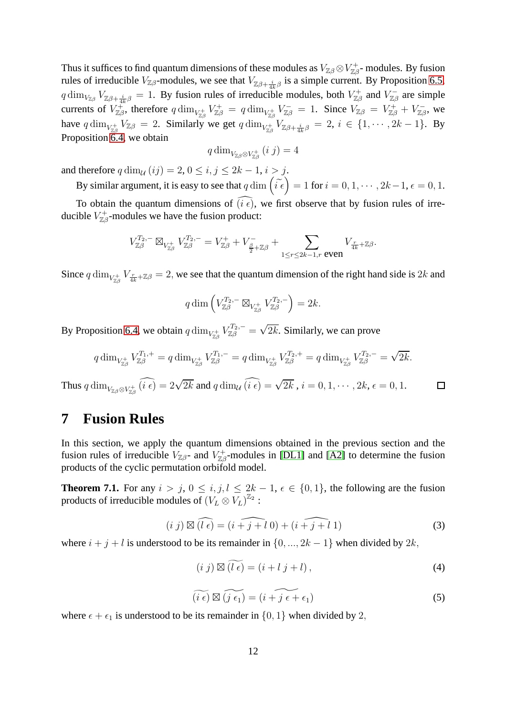Thus it suffices to find quantum dimensions of these modules as  $V_{\mathbb{Z}\beta} \otimes V_{\mathbb{Z}\beta}^+$ - modules. By fusion rules of irreducible  $V_{\mathbb{Z}\beta}$ -modules, we see that  $V_{\mathbb{Z}\beta+\frac{i}{4k}\beta}$  is a simple current. By Proposition [6.5,](#page-10-0)  $q \dim_{V_{\mathbb{Z}\beta}} V_{\mathbb{Z}\beta + \frac{i}{4k}\beta} = 1$ . By fusion rules of irreducible modules, both  $V_{\mathbb{Z}\beta}^+$  and  $V_{\mathbb{Z}\beta}^ \chi_{\mathbb{Z}\beta}^{-}$  are simple currents of  $V_{\mathbb{Z}\beta}^+$ , therefore  $q\dim_{V_{\mathbb{Z}\beta}^+} V_{\mathbb{Z}\beta}^+ = q\dim_{V_{\mathbb{Z}\beta}^+} V_{\mathbb{Z}\beta}^- = 1$ . Since  $V_{\mathbb{Z}\beta} = V_{\mathbb{Z}\beta}^+ + V_{\mathbb{Z}\beta}^ \mathbb{Z}_\beta^-, \text{ we}$ have  $q \dim_{V_{\mathbb{Z}\beta}} V_{\mathbb{Z}\beta} = 2$ . Similarly we get  $q \dim_{V_{\mathbb{Z}\beta}} V_{\mathbb{Z}\beta + \frac{i}{4k}\beta} = 2$ ,  $i \in \{1, \cdots, 2k-1\}$ . By Proposition [6.4,](#page-10-1) we obtain

$$
q\dim_{V_{\mathbb{Z}\beta}\otimes V_{\mathbb{Z}\beta}^{+}}(i\;j)=4
$$

and therefore  $q \dim_{\mathcal{U}} (ij) = 2, 0 \le i, j \le 2k - 1, i > j.$ 

By similar argument, it is easy to see that  $q \dim \left( \tilde{i} \epsilon \right) = 1$  for  $i = 0, 1, \dots, 2k - 1, \epsilon = 0, 1$ .

To obtain the quantum dimensions of  $(i \epsilon)$ , we first observe that by fusion rules of irreducible  $V_{\mathbb{Z}\beta}^+$ -modules we have the fusion product:

$$
V_{\mathbb{Z}\beta}^{T_2,-}\boxtimes_{V_{\mathbb{Z}\beta}^+} V_{\mathbb{Z}\beta}^{T_2,-}=V_{\mathbb{Z}\beta}^++V_{\frac{\beta}{2}+\mathbb{Z}\beta}^-+\sum_{1\leq r\leq 2k-1,r\text{ even}}V_{\frac{r}{4k}+\mathbb{Z}\beta}.
$$

Since  $q \dim_{V_{\mathbb{Z}\beta}} V_{\frac{r}{4k} + \mathbb{Z}\beta} = 2$ , we see that the quantum dimension of the right hand side is 2k and

$$
q \dim \left( V_{\mathbb{Z}\beta}^{T_2,-} \boxtimes_{V_{\mathbb{Z}\beta}^+} V_{\mathbb{Z}\beta}^{T_2,-} \right) = 2k.
$$

By Proposition [6.4,](#page-10-1) we obtain  $q \dim_{V_{\mathbb{Z}\beta}} V_{\mathbb{Z}\beta}^{T_2,-} = \sqrt{2k}$ . Similarly, we can prove

$$
q \dim_{V_{\mathbb{Z}\beta}^{+}} V_{\mathbb{Z}\beta}^{T_1,+} = q \dim_{V_{\mathbb{Z}\beta}^{+}} V_{\mathbb{Z}\beta}^{T_1,-} = q \dim_{V_{\mathbb{Z}\beta}^{+}} V_{\mathbb{Z}\beta}^{T_2,+} = q \dim_{V_{\mathbb{Z}\beta}^{+}} V_{\mathbb{Z}\beta}^{T_2,-} = \sqrt{2k}.
$$

Thus  $q \dim_{V_{\mathbb{Z}\beta} \otimes V_{\mathbb{Z}\beta}^+} (\widehat{i\ \epsilon}) = 2\sqrt{2k}$  and  $q \dim_{\mathcal{U}} \widehat{(i\ \epsilon)} = \sqrt{2k}$  ,  $i = 0, 1, \cdots, 2k, \epsilon = 0, 1$ .  $\Box$ 

### **7 Fusion Rules**

In this section, we apply the quantum dimensions obtained in the previous section and the fusion rules of irreducible  $V_{\mathbb{Z}\beta}$ - and  $V_{\mathbb{Z}\beta}^+$ -modules in [\[DL1\]](#page-14-16) and [\[A2\]](#page-13-10) to determine the fusion products of the cyclic permutation orbifold model.

**Theorem 7.1.** For any  $i > j$ ,  $0 \leq i, j, l \leq 2k - 1$ ,  $\epsilon \in \{0, 1\}$ , the following are the fusion products of irreducible modules of  $(V_L \otimes V_L)^{\mathbb{Z}_2}$  :

<span id="page-11-0"></span>
$$
(i j) \boxtimes (\widehat{l \epsilon}) = (i + j + l 0) + (i + j + l 1)
$$
\n(3)

where  $i + j + l$  is understood to be its remainder in  $\{0, ..., 2k - 1\}$  when divided by  $2k$ ,

<span id="page-11-1"></span>
$$
(i j) \boxtimes (l \epsilon) = (i + l j + l), \qquad (4)
$$

<span id="page-11-2"></span>
$$
\widetilde{(i \epsilon)} \boxtimes \widetilde{(j \epsilon_1)} = (i + \widetilde{j \epsilon + \epsilon_1})
$$
\n(5)

where  $\epsilon + \epsilon_1$  is understood to be its remainder in  $\{0, 1\}$  when divided by 2,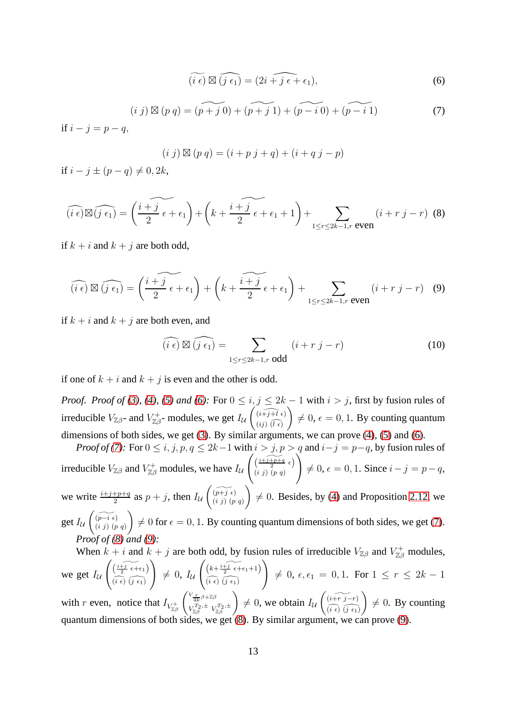<span id="page-12-0"></span>
$$
\widetilde{(i \epsilon)} \boxtimes \widehat{(j \epsilon_1)} = (2i + j \epsilon + \epsilon_1), \tag{6}
$$

<span id="page-12-1"></span>
$$
(i \; j) \boxtimes (p \; q) = \widetilde{(p + j \; 0)} + \widetilde{(p + j \; 1)} + \widetilde{(p - i \; 0)} + \widetilde{(p - i \; 1)} \tag{7}
$$

if  $i - j = p - q$ ,

$$
(i \; j) \boxtimes (p \; q) = (i + p \; j + q) + (i + q \; j - p)
$$

if  $i - j \pm (p - q) \neq 0, 2k$ ,

<span id="page-12-2"></span>
$$
\widehat{(i\epsilon)} \boxtimes \widehat{(j\epsilon_1)} = \left(\frac{i+j}{2}\epsilon + \epsilon_1\right) + \left(k + \frac{i+j}{2}\epsilon + \epsilon_1 + 1\right) + \sum_{1 \le r \le 2k-1, r \text{ even}} (i+r\ j-r) \tag{8}
$$

if  $k + i$  and  $k + j$  are both odd,

<span id="page-12-3"></span>
$$
\widehat{(i\epsilon)} \boxtimes \widehat{(j\epsilon_1)} = \left(\frac{i+j}{2}\epsilon + \epsilon_1\right) + \left(k + \frac{i+j}{2}\epsilon + \epsilon_1\right) + \sum_{1 \le r \le 2k-1, r \text{ even}} (i+r\ j-r) \quad (9)
$$

if  $k + i$  and  $k + j$  are both even, and

<span id="page-12-4"></span>
$$
\widehat{(i \epsilon)} \boxtimes \widehat{(j \epsilon_1)} = \sum_{1 \le r \le 2k-1, r \text{ odd}} (i+r j-r)
$$
(10)

if one of  $k + i$  and  $k + j$  is even and the other is odd.

*Proof. Proof of [\(3\)](#page-11-0), [\(4\)](#page-11-1), [\(5\)](#page-11-2) and [\(6\)](#page-12-0):* For  $0 \le i, j \le 2k - 1$  with  $i > j$ , first by fusion rules of irreducible  $V_{\mathbb{Z}\beta}$ - and  $V_{\mathbb{Z}\beta}^+$ - modules, we get  $I_{\mathcal{U}}$  $\left(\overline{\left(i+j+l\epsilon\right)}\right)$  $(ij)$   $(\widehat{l \epsilon})$  $\lambda$  $\neq 0, \epsilon = 0, 1$ . By counting quantum dimensions of both sides, we get [\(3\)](#page-11-0). By similar arguments, we can prove [\(4\)](#page-11-1)*,* [\(5\)](#page-11-2) and [\(6\)](#page-12-0)*.*

*Proof of* [\(7\)](#page-12-1): For  $0 \le i, j, p, q \le 2k-1$  with  $i > j, p > q$  and  $i-j = p-q$ , by fusion rules of irreducible  $V_{\mathbb{Z}\beta}$  and  $V_{\mathbb{Z}\beta}^+$  modules, we have  $I_{\mathcal{U}}$  $\left( \frac{i+j+p+q}{2} \epsilon \right)$  $(i\ j)\ (p\ q)$  $\sqrt{ }$  $\neq 0, \epsilon = 0, 1$ . Since  $i - j = p - q$ , we write  $\frac{i+j+p+q}{2}$  as  $p+j$ , then  $I_{\mathcal{U}}$  $\left(\widetilde{p+j\epsilon}\right)$  $(i j)$   $(p q)$  $\overline{\phantom{0}}$  $\neq$  0. Besides, by [\(4\)](#page-11-1) and Proposition [2.12,](#page-4-0) we get  $I_{\mathcal{U}}$  $\left(\widetilde{(p-i\epsilon)}\right)$  $(i j)$   $(p q)$  $\overline{ }$  $\neq 0$  for  $\epsilon = 0, 1$ . By counting quantum dimensions of both sides, we get [\(7\)](#page-12-1). *Proof of [\(8\)](#page-12-2) and [\(9\)](#page-12-3):* When  $k + i$  and  $k + j$  are both odd, by fusion rules of irreducible  $V_{\mathbb{Z}\beta}$  and  $V_{\mathbb{Z}\beta}^+$  modules, we get  $I_{\mathcal{U}}$  $\left( \frac{i+j}{2} \epsilon + \epsilon_1 \right)$  $(\widehat{i\epsilon})\widehat{(j\epsilon_1)}$ !  $\neq 0, I_{\mathcal{U}}$  $\left( k+\frac{i+j}{2}\epsilon+\epsilon_1+1\right)$  $(\widehat{i\epsilon})\widehat{(j\epsilon_1)}$ !  $\neq$  0,  $\epsilon, \epsilon_1 = 0, 1$ . For  $1 \leq r \leq 2k - 1$ 

with r even, notice that  $I_{V_{\mathbb{Z}\beta}}$  $\left(\frac{V_{r}}{4k}\beta+\mathbb{Z}\beta\right)$  $V_{\mathbb{Z}\beta}^{T_2,\pm} \ V_{\mathbb{Z}\beta}^{T_2,\pm}$  $\setminus$  $\neq 0$ , we obtain  $I_{\mathcal{U}}$  $\left(\widetilde{i+r\ j-r}\right)$  $(\widehat{i\epsilon})\widehat{(j\epsilon_1)}$  $\lambda$  $\neq 0$ . By counting quantum dimensions of both sides, we get [\(8\)](#page-12-2). By similar argument, we can prove [\(9\)](#page-12-3).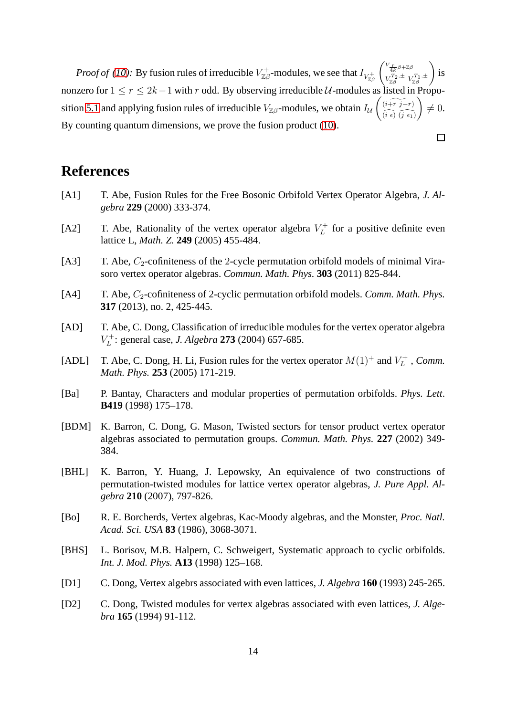*Proof of [\(10\)](#page-12-4):* By fusion rules of irreducible  $V_{\mathbb{Z}\beta}^+$ -modules, we see that  $I_{V_{\mathbb{Z}\beta}^+}$  $\int_{}^{V} \frac{r}{4k} \beta + \mathbb{Z} \beta$  $V_{\mathbb{Z}\beta}^{T_2,\pm} V_{\mathbb{Z}\beta}^{T_1,\pm}$  $\overline{ }$ is nonzero for  $1 \le r \le 2k-1$  with r odd. By observing irreducible  $U$ -modules as listed in Propo-sition [5.1](#page-7-0) and applying fusion rules of irreducible  $V_{\mathbb{Z}\beta}$ -modules, we obtain  $I_{\mathcal{U}}$  $\left(\widetilde{i+r\ j-r}\right)$  $(\widehat{i\epsilon})\widehat{(j\epsilon_1)}$  $\lambda$  $\neq 0.$ By counting quantum dimensions, we prove the fusion product [\(10\)](#page-12-4).

 $\Box$ 

### **References**

- <span id="page-13-12"></span>[A1] T. Abe, Fusion Rules for the Free Bosonic Orbifold Vertex Operator Algebra, *J. Algebra* **229** (2000) 333-374.
- <span id="page-13-10"></span>[A2] T. Abe, Rationality of the vertex operator algebra  $V_L^+$  $L_L^+$  for a positive definite even lattice L, *Math. Z.* **249** (2005) 455-484.
- <span id="page-13-4"></span>[A3] T. Abe,  $C_2$ -cofiniteness of the 2-cycle permutation orbifold models of minimal Virasoro vertex operator algebras. *Commun. Math. Phys.* **303** (2011) 825-844.
- <span id="page-13-5"></span>[A4] T. Abe,  $C_2$ -cofiniteness of 2-cyclic permutation orbifold models. *Comm. Math. Phys.* **317** (2013), no. 2, 425-445.
- <span id="page-13-8"></span>[AD] T. Abe, C. Dong, Classification of irreducible modules for the vertex operator algebra  $V_L^+$ L : general case, *J. Algebra* **273** (2004) 657-685.
- <span id="page-13-9"></span>[ADL] T. Abe, C. Dong, H. Li, Fusion rules for the vertex operator  $M(1)^+$  and  $V_L^+$  $L^{r+}$ , *Comm. Math. Phys.* **253** (2005) 171-219.
- <span id="page-13-1"></span>[Ba] P. Bantay, Characters and modular properties of permutation orbifolds. *Phys. Lett*. **B419** (1998) 175–178.
- <span id="page-13-2"></span>[BDM] K. Barron, C. Dong, G. Mason, Twisted sectors for tensor product vertex operator algebras associated to permutation groups. *Commun. Math. Phys.* **227** (2002) 349- 384.
- <span id="page-13-3"></span>[BHL] K. Barron, Y. Huang, J. Lepowsky, An equivalence of two constructions of permutation-twisted modules for lattice vertex operator algebras, *J. Pure Appl. Algebra* **210** (2007), 797-826.
- <span id="page-13-11"></span>[Bo] R. E. Borcherds, Vertex algebras, Kac-Moody algebras, and the Monster, *Proc. Natl. Acad. Sci. USA* **83** (1986), 3068-3071.
- <span id="page-13-0"></span>[BHS] L. Borisov, M.B. Halpern, C. Schweigert, Systematic approach to cyclic orbifolds. *Int. J. Mod. Phys.* **A13** (1998) 125–168.
- <span id="page-13-6"></span>[D1] C. Dong, Vertex algebrs associated with even lattices, *J. Algebra* **160** (1993) 245-265.
- <span id="page-13-7"></span>[D2] C. Dong, Twisted modules for vertex algebras associated with even lattices, *J. Algebra* **165** (1994) 91-112.